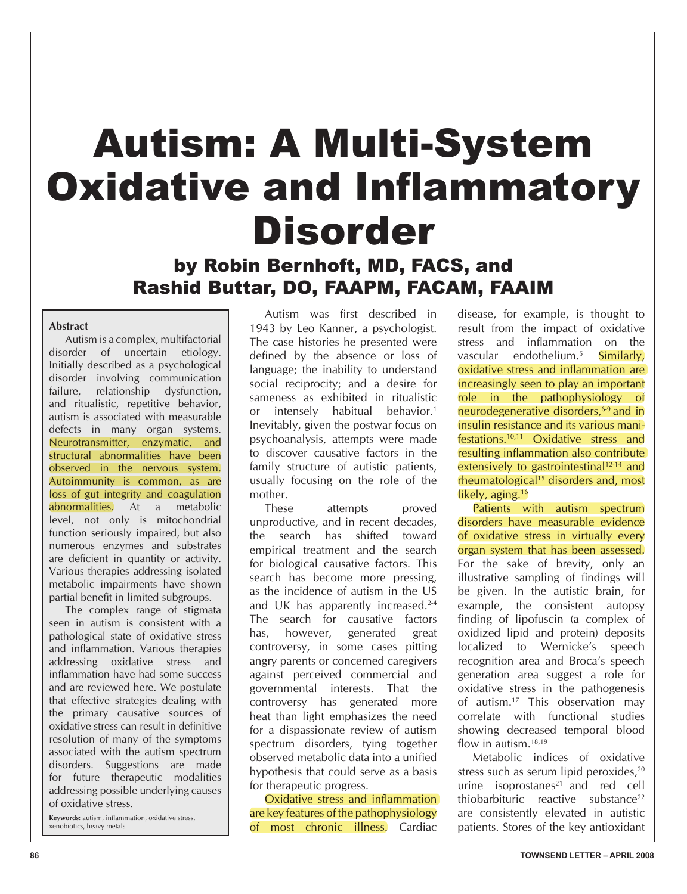# Autism: A Multi-System **Oxidative and Inflammatory** Disorder

# by Robin Bernhoft, MD, FACS, and Rashid Buttar, DO, FAAPM, FACAM, FAAIM

#### **Abstract**

 Autism is a complex, multifactorial disorder of uncertain etiology. Initially described as a psychological disorder involving communication failure, relationship dysfunction, and ritualistic, repetitive behavior, autism is associated with measurable defects in many organ systems. Neurotransmitter, enzymatic, and structural abnormalities have been observed in the nervous system. Autoimmunity is common, as are loss of gut integrity and coagulation abnormalities. At a metabolic level, not only is mitochondrial function seriously impaired, but also numerous enzymes and substrates are deficient in quantity or activity. Various therapies addressing isolated metabolic impairments have shown partial benefit in limited subgroups.

 The complex range of stigmata seen in autism is consistent with a pathological state of oxidative stress and inflammation. Various therapies addressing oxidative stress and inflammation have had some success and are reviewed here. We postulate that effective strategies dealing with the primary causative sources of oxidative stress can result in definitive resolution of many of the symptoms associated with the autism spectrum disorders. Suggestions are made for future therapeutic modalities addressing possible underlying causes of oxidative stress.

Keywords: autism, inflammation, oxidative stress, xenobiotics, heavy metals

Autism was first described in 1943 by Leo Kanner, a psychologist. The case histories he presented were defined by the absence or loss of language; the inability to understand social reciprocity; and a desire for sameness as exhibited in ritualistic or intensely habitual behavior.<sup>1</sup> Inevitably, given the postwar focus on psychoanalysis, attempts were made to discover causative factors in the family structure of autistic patients, usually focusing on the role of the mother.

These attempts proved unproductive, and in recent decades, the search has shifted toward empirical treatment and the search for biological causative factors. This search has become more pressing, as the incidence of autism in the US and UK has apparently increased.<sup>2-4</sup> The search for causative factors has, however, generated great controversy, in some cases pitting angry parents or concerned caregivers against perceived commercial and governmental interests. That the controversy has generated more heat than light emphasizes the need for a dispassionate review of autism spectrum disorders, tying together observed metabolic data into a unified hypothesis that could serve as a basis for therapeutic progress.

Oxidative stress and inflammation are key features of the pathophysiology of most chronic illness. Cardiac

disease, for example, is thought to result from the impact of oxidative stress and inflammation on the vascular endothelium.<sup>5</sup> Similarly, oxidative stress and inflammation are increasingly seen to play an important role in the pathophysiology of neurodegenerative disorders.<sup>6-9</sup> and in insulin resistance and its various manifestations.10,11 Oxidative stress and resulting inflammation also contribute extensively to gastrointestinal<sup>12-14</sup> and rheumatological15 disorders and, most likely, aging.<sup>16</sup>

Patients with autism spectrum disorders have measurable evidence of oxidative stress in virtually every organ system that has been assessed. For the sake of brevity, only an illustrative sampling of findings will be given. In the autistic brain, for example, the consistent autopsy finding of lipofuscin (a complex of oxidized lipid and protein) deposits localized to Wernicke's speech recognition area and Broca's speech generation area suggest a role for oxidative stress in the pathogenesis of autism.17 This observation may correlate with functional studies showing decreased temporal blood flow in autism. $^{18,19}$ 

Metabolic indices of oxidative stress such as serum lipid peroxides,<sup>20</sup> urine isoprostanes $21$  and red cell thiobarbituric reactive substance<sup>22</sup> are consistently elevated in autistic patients. Stores of the key antioxidant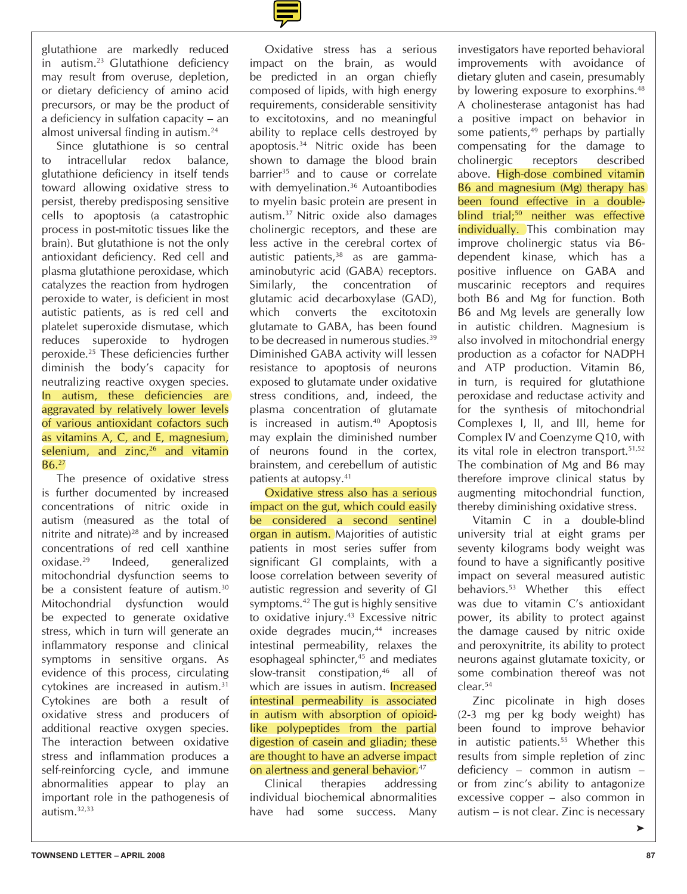glutathione are markedly reduced in autism.<sup>23</sup> Glutathione deficiency may result from overuse, depletion, or dietary deficiency of amino acid precursors, or may be the product of a deficiency in sulfation capacity – an almost universal finding in autism.<sup>24</sup>

Since glutathione is so central to intracellular redox balance, glutathione deficiency in itself tends toward allowing oxidative stress to persist, thereby predisposing sensitive cells to apoptosis (a catastrophic process in post-mitotic tissues like the brain). But glutathione is not the only antioxidant deficiency. Red cell and plasma glutathione peroxidase, which catalyzes the reaction from hydrogen peroxide to water, is deficient in most autistic patients, as is red cell and platelet superoxide dismutase, which reduces superoxide to hydrogen peroxide.<sup>25</sup> These deficiencies further diminish the body's capacity for neutralizing reactive oxygen species. In autism, these deficiencies are aggravated by relatively lower levels of various antioxidant cofactors such as vitamins A, C, and E, magnesium, selenium, and zinc, $26$  and vitamin  $B6.<sub>27</sub>$ 

The presence of oxidative stress is further documented by increased concentrations of nitric oxide in autism (measured as the total of nitrite and nitrate)28 and by increased concentrations of red cell xanthine oxidase.29 Indeed, generalized mitochondrial dysfunction seems to be a consistent feature of autism.<sup>30</sup> Mitochondrial dysfunction would be expected to generate oxidative stress, which in turn will generate an inflammatory response and clinical symptoms in sensitive organs. As evidence of this process, circulating cytokines are increased in autism.31 Cytokines are both a result of oxidative stress and producers of additional reactive oxygen species. The interaction between oxidative stress and inflammation produces a self-reinforcing cycle, and immune abnormalities appear to play an important role in the pathogenesis of autism.32,33



Oxidative stress has a serious impact on the brain, as would be predicted in an organ chiefly composed of lipids, with high energy requirements, considerable sensitivity to excitotoxins, and no meaningful ability to replace cells destroyed by apoptosis.34 Nitric oxide has been shown to damage the blood brain barrier<sup>35</sup> and to cause or correlate with demyelination.<sup>36</sup> Autoantibodies to myelin basic protein are present in autism.37 Nitric oxide also damages cholinergic receptors, and these are less active in the cerebral cortex of autistic patients,<sup>38</sup> as are gammaaminobutyric acid (GABA) receptors. Similarly, the concentration of glutamic acid decarboxylase (GAD), which converts the excitotoxin glutamate to GABA, has been found to be decreased in numerous studies.<sup>39</sup> Diminished GABA activity will lessen resistance to apoptosis of neurons exposed to glutamate under oxidative stress conditions, and, indeed, the plasma concentration of glutamate is increased in autism.40 Apoptosis may explain the diminished number of neurons found in the cortex, brainstem, and cerebellum of autistic patients at autopsy.41

Oxidative stress also has a serious impact on the gut, which could easily be considered a second sentinel organ in autism. Majorities of autistic patients in most series suffer from significant GI complaints, with a loose correlation between severity of autistic regression and severity of GI symptoms.<sup>42</sup> The gut is highly sensitive to oxidative injury.<sup>43</sup> Excessive nitric oxide degrades mucin,<sup>44</sup> increases intestinal permeability, relaxes the esophageal sphincter,<sup>45</sup> and mediates slow-transit constipation,<sup>46</sup> all of which are issues in autism. **Increased** intestinal permeability is associated in autism with absorption of opioidlike polypeptides from the partial digestion of casein and gliadin; these are thought to have an adverse impact on alertness and general behavior.<sup>47</sup>

Clinical therapies addressing individual biochemical abnormalities have had some success. Many investigators have reported behavioral improvements with avoidance of dietary gluten and casein, presumably by lowering exposure to exorphins.<sup>48</sup> A cholinesterase antagonist has had a positive impact on behavior in some patients, $49$  perhaps by partially compensating for the damage to cholinergic receptors described above. High-dose combined vitamin B6 and magnesium (Mg) therapy has been found effective in a doubleblind trial;<sup>50</sup> neither was effective individually. This combination may improve cholinergic status via B6 dependent kinase, which has a positive influence on GABA and muscarinic receptors and requires both B6 and Mg for function. Both B6 and Mg levels are generally low in autistic children. Magnesium is also involved in mitochondrial energy production as a cofactor for NADPH and ATP production. Vitamin B6, in turn, is required for glutathione peroxidase and reductase activity and for the synthesis of mitochondrial Complexes I, II, and III, heme for Complex IV and Coenzyme Q10, with its vital role in electron transport.51,52 The combination of Mg and B6 may therefore improve clinical status by augmenting mitochondrial function, thereby diminishing oxidative stress.

Vitamin C in a double-blind university trial at eight grams per seventy kilograms body weight was found to have a significantly positive impact on several measured autistic behaviors.53 Whether this effect was due to vitamin C's antioxidant power, its ability to protect against the damage caused by nitric oxide and peroxynitrite, its ability to protect neurons against glutamate toxicity, or some combination thereof was not clear.54

Zinc picolinate in high doses (2-3 mg per kg body weight) has been found to improve behavior in autistic patients.55 Whether this results from simple repletion of zinc deficiency – common in autism – or from zinc's ability to antagonize excessive copper – also common in autism – is not clear. Zinc is necessary

³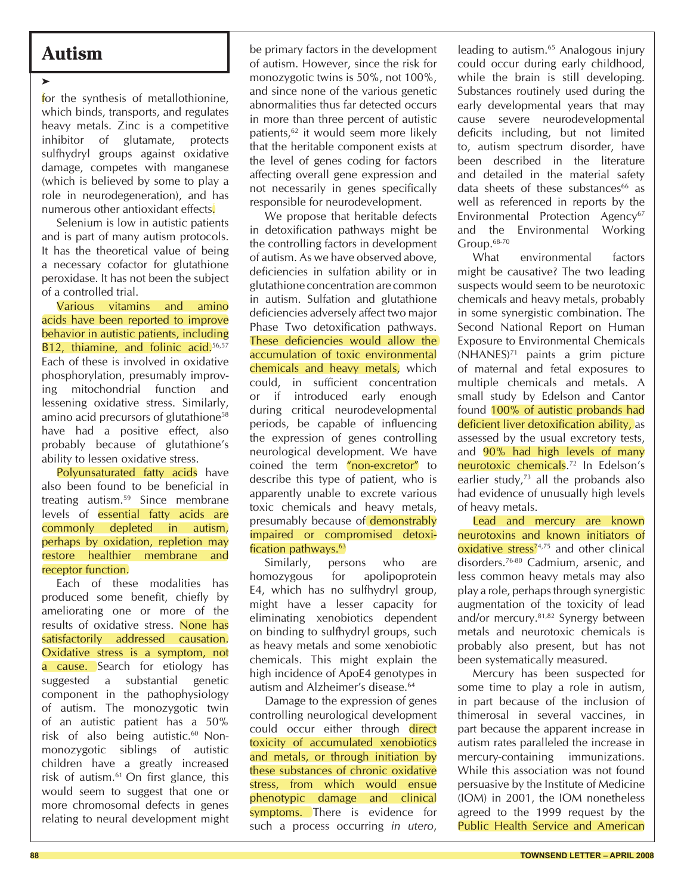## **Autism**

³

for the synthesis of metallothionine, which binds, transports, and regulates heavy metals. Zinc is a competitive inhibitor of glutamate, protects sulfhydryl groups against oxidative damage, competes with manganese (which is believed by some to play a role in neurodegeneration), and has numerous other antioxidant effects.

Selenium is low in autistic patients and is part of many autism protocols. It has the theoretical value of being a necessary cofactor for glutathione peroxidase. It has not been the subject of a controlled trial.

Various vitamins and amino acids have been reported to improve behavior in autistic patients, including B12, thiamine, and folinic acid.<sup>56,57</sup> Each of these is involved in oxidative phosphorylation, presumably improving mitochondrial function and lessening oxidative stress. Similarly, amino acid precursors of glutathione58 have had a positive effect, also probably because of glutathione's ability to lessen oxidative stress.

Polyunsaturated fatty acids have also been found to be beneficial in treating autism.59 Since membrane levels of essential fatty acids are commonly depleted in autism, perhaps by oxidation, repletion may restore healthier membrane and receptor function.

Each of these modalities has produced some benefit, chiefly by ameliorating one or more of the results of oxidative stress. None has satisfactorily addressed causation. Oxidative stress is a symptom, not a cause. Search for etiology has suggested a substantial genetic component in the pathophysiology of autism. The monozygotic twin of an autistic patient has a 50% risk of also being autistic.<sup>60</sup> Nonmonozygotic siblings of autistic children have a greatly increased risk of autism. $61$  On first glance, this would seem to suggest that one or more chromosomal defects in genes relating to neural development might

be primary factors in the development of autism. However, since the risk for monozygotic twins is 50%, not 100%, and since none of the various genetic abnormalities thus far detected occurs in more than three percent of autistic patients,<sup>62</sup> it would seem more likely that the heritable component exists at the level of genes coding for factors affecting overall gene expression and not necessarily in genes specifically responsible for neurodevelopment.

We propose that heritable defects in detoxification pathways might be the controlling factors in development of autism. As we have observed above, deficiencies in sulfation ability or in glutathione concentration are common in autism. Sulfation and glutathione deficiencies adversely affect two major Phase Two detoxification pathways. These deficiencies would allow the accumulation of toxic environmental chemicals and heavy metals, which could, in sufficient concentration or if introduced early enough during critical neurodevelopmental periods, be capable of influencing the expression of genes controlling neurological development. We have coined the term "non-excretor" to describe this type of patient, who is apparently unable to excrete various toxic chemicals and heavy metals, presumably because of demonstrably impaired or compromised detoxification pathways.<sup>63</sup>

Similarly, persons who are homozygous for apolipoprotein E4, which has no sulfhydryl group, might have a lesser capacity for eliminating xenobiotics dependent on binding to sulfhydryl groups, such as heavy metals and some xenobiotic chemicals. This might explain the high incidence of ApoE4 genotypes in autism and Alzheimer's disease.<sup>64</sup>

Damage to the expression of genes controlling neurological development could occur either through direct toxicity of accumulated xenobiotics and metals, or through initiation by these substances of chronic oxidative stress, from which would ensue phenotypic damage and clinical symptoms. There is evidence for such a process occurring *in utero*,

leading to autism.<sup>65</sup> Analogous injury could occur during early childhood, while the brain is still developing. Substances routinely used during the early developmental years that may cause severe neurodevelopmental deficits including, but not limited to, autism spectrum disorder, have been described in the literature and detailed in the material safety data sheets of these substances $66$  as well as referenced in reports by the Environmental Protection Agency<sup>67</sup> and the Environmental Working Group.68-70

What environmental factors might be causative? The two leading suspects would seem to be neurotoxic chemicals and heavy metals, probably in some synergistic combination. The Second National Report on Human Exposure to Environmental Chemicals  $(NHANES)^{71}$  paints a grim picture of maternal and fetal exposures to multiple chemicals and metals. A small study by Edelson and Cantor found 100% of autistic probands had deficient liver detoxification ability, as assessed by the usual excretory tests, and 90% had high levels of many neurotoxic chemicals.<sup>72</sup> In Edelson's earlier study, $73$  all the probands also had evidence of unusually high levels of heavy metals.

Lead and mercury are known neurotoxins and known initiators of  $oxidative stress<sup>74,75</sup>$  and other clinical disorders.76-80 Cadmium, arsenic, and less common heavy metals may also play a role, perhaps through synergistic augmentation of the toxicity of lead and/or mercury.81,82 Synergy between metals and neurotoxic chemicals is probably also present, but has not been systematically measured.

Mercury has been suspected for some time to play a role in autism, in part because of the inclusion of thimerosal in several vaccines, in part because the apparent increase in autism rates paralleled the increase in mercury-containing immunizations. While this association was not found persuasive by the Institute of Medicine (IOM) in 2001, the IOM nonetheless agreed to the 1999 request by the Public Health Service and American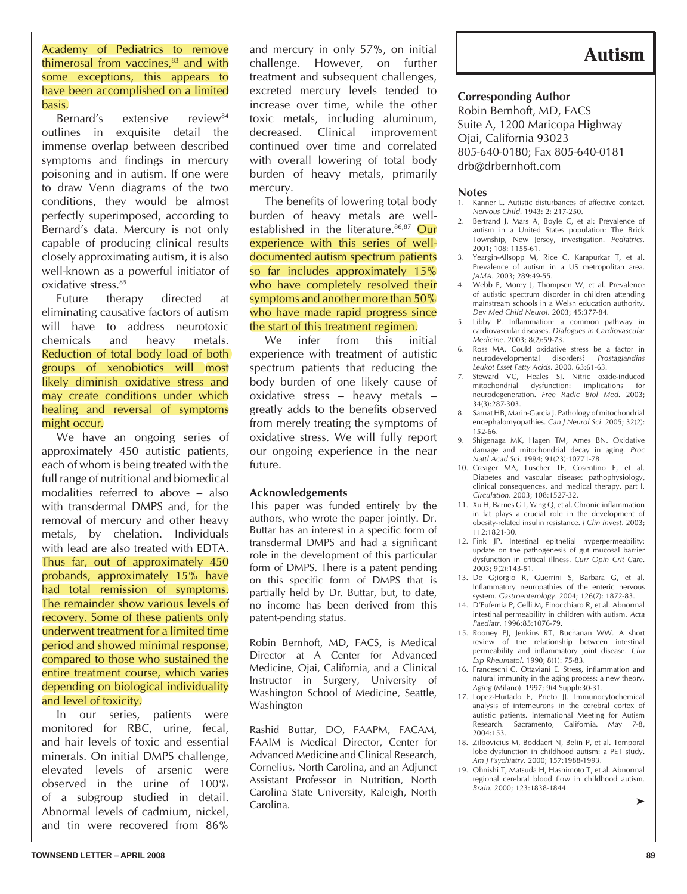Academy of Pediatrics to remove thimerosal from vaccines, $83$  and with some exceptions, this appears to have been accomplished on a limited basis.

Bernard's extensive review<sup>84</sup> outlines in exquisite detail the immense overlap between described symptoms and findings in mercury poisoning and in autism. If one were to draw Venn diagrams of the two conditions, they would be almost perfectly superimposed, according to Bernard's data. Mercury is not only capable of producing clinical results closely approximating autism, it is also well-known as a powerful initiator of oxidative stress.85

Future therapy directed at eliminating causative factors of autism will have to address neurotoxic chemicals and heavy metals. Reduction of total body load of both groups of xenobiotics will most likely diminish oxidative stress and may create conditions under which healing and reversal of symptoms might occur.

We have an ongoing series of approximately 450 autistic patients, each of whom is being treated with the full range of nutritional and biomedical modalities referred to above – also with transdermal DMPS and, for the removal of mercury and other heavy metals, by chelation. Individuals with lead are also treated with EDTA. Thus far, out of approximately 450 probands, approximately 15% have had total remission of symptoms. The remainder show various levels of recovery. Some of these patients only underwent treatment for a limited time period and showed minimal response, compared to those who sustained the entire treatment course, which varies depending on biological individuality and level of toxicity.

In our series, patients were monitored for RBC, urine, fecal, and hair levels of toxic and essential minerals. On initial DMPS challenge, elevated levels of arsenic were observed in the urine of 100% of a subgroup studied in detail. Abnormal levels of cadmium, nickel, and tin were recovered from 86%

and mercury in only 57%, on initial challenge. However, on further treatment and subsequent challenges, excreted mercury levels tended to increase over time, while the other toxic metals, including aluminum, decreased. Clinical improvement continued over time and correlated with overall lowering of total body burden of heavy metals, primarily mercury.

The benefits of lowering total body burden of heavy metals are wellestablished in the literature.<sup>86,87</sup> Our experience with this series of welldocumented autism spectrum patients so far includes approximately 15% who have completely resolved their symptoms and another more than 50% who have made rapid progress since the start of this treatment regimen.

We infer from this initial experience with treatment of autistic spectrum patients that reducing the body burden of one likely cause of oxidative stress – heavy metals – greatly adds to the benefits observed from merely treating the symptoms of oxidative stress. We will fully report our ongoing experience in the near future.

## **Acknowledgements**

This paper was funded entirely by the authors, who wrote the paper jointly. Dr. Buttar has an interest in a specific form of transdermal DMPS and had a significant role in the development of this particular form of DMPS. There is a patent pending on this specific form of DMPS that is partially held by Dr. Buttar, but, to date, no income has been derived from this patent-pending status.

Robin Bernhoft, MD, FACS, is Medical Director at A Center for Advanced Medicine, Ojai, California, and a Clinical Instructor in Surgery, University of Washington School of Medicine, Seattle, Washington

Rashid Buttar, DO, FAAPM, FACAM, FAAIM is Medical Director, Center for Advanced Medicine and Clinical Research, Cornelius, North Carolina, and an Adjunct Assistant Professor in Nutrition, North Carolina State University, Raleigh, North Carolina.

# **Autism**

## **Corresponding Author**

Robin Bernhoft, MD, FACS Suite A, 1200 Maricopa Highway Ojai, California 93023 805-640-0180; Fax 805-640-0181 drb@drbernhoft.com

## **Notes**<br>1. Kann

- Kanner L. Autistic disturbances of affective contact. *Nervous Child*. 1943: 2: 217-250.
- 2. Bertrand J, Mars A, Boyle C, et al: Prevalence of autism in a United States population: The Brick Township, New Jersey, investigation. *Pediatrics.*  $2001 \cdot 108 \cdot 1155 - 61$
- 3. Yeargin-Allsopp M, Rice C, Karapurkar T, et al. Prevalence of autism in a US metropolitan area. *JAMA*. 2003; 289:49-55.
- 4. Webb E, Morey J, Thompsen W, et al. Prevalence of autistic spectrum disorder in children attending mainstream schools in a Welsh education authority. *Dev Med Child Neurol.* 2003; 45:377-84.
- 5. Libby P. Inflammation: a common pathway in cardiovascular diseases. *Dialogues in Cardiovascular*  Medicine. 2003; 8(2):59-73.
- 6. Ross MA. Could oxidative stress be a factor in neurodevelopmental disorders? *Prostaglandins Leukot Esset Fatty Acids*. 2000. 63:61-63.
- 7. Steward VC, Heales SJ. Nitric oxide-induced mitochondrial dysfunction: implications for neurodegeneration. *Free Radic Biol Med*. 2003; 34(3):287-303.
- 8. Sarnat HB, Marin-Garcia J. Pathology of mitochondrial encephalomyopathies. Can J Neurol Sci. 2005; 32(2): 152-66.
- 9. Shigenaga MK, Hagen TM, Ames BN. Oxidative damage and mitochondrial decay in aging. *Proc*  Nattl Acad Sci. 1994; 91(23):10771-78.
- 10. Creager MA, Luscher TF, Cosentino F, et al. Diabetes and vascular disease: pathophysiology, clinical consequences, and medical therapy, part I. *Circulation*. 2003; 108:1527-32.
- 11. Xu H, Barnes GT, Yang Q, et al. Chronic inflammation in fat plays a crucial role in the development of obesity-related insulin resistance. *J Clin Invest*. 2003; 112:1821-30.
- 12. Fink JP. Intestinal epithelial hyperpermeability: update on the pathogenesis of gut mucosal barrier dysfunction in critical illness. *Curr Opin Crit Care*. 2003; 9(2):143-51.
- 13. De G;iorgio R, Guerrini S, Barbara G, et al. Inflammatory neuropathies of the enteric nervous system. *Gastroenterology*. 2004; 126(7): 1872-83.
- 14. D'Eufemia P, Celli M, Finocchiaro R, et al. Abnormal intestinal permeability in children with autism. *Acta Paediatr*. 1996:85:1076-79.
- 15. Rooney PJ, Jenkins RT, Buchanan WW. A short review of the relationship between intestinal permeability and inflammatory joint disease. Clin Exp Rheumatol. 1990; 8(1): 75-83.
- 16. Franceschi C, Ottaviani E. Stress, inflammation and natural immunity in the aging process: a new theory. Aging (Milano). 1997; 9(4 Suppl): 30-31.
- 17. Lopez-Hurtado E, Prieto JJ. Immunocytochemical analysis of interneurons in the cerebral cortex of autistic patients. International Meeting for Autism Research. Sacramento, California. May 7-8, 2004:153.
- 18. Zilbovicius M, Boddaert N, Belin P, et al. Temporal lobe dysfunction in childhood autism: a PET study. *Am J Psychiatry*. 2000; 157:1988-1993.
- 19. Ohnishi T, Matsuda H, Hashimoto T, et al. Abnormal regional cerebral blood flow in childhood autism. *Brain.* 2000; 123:1838-1844.